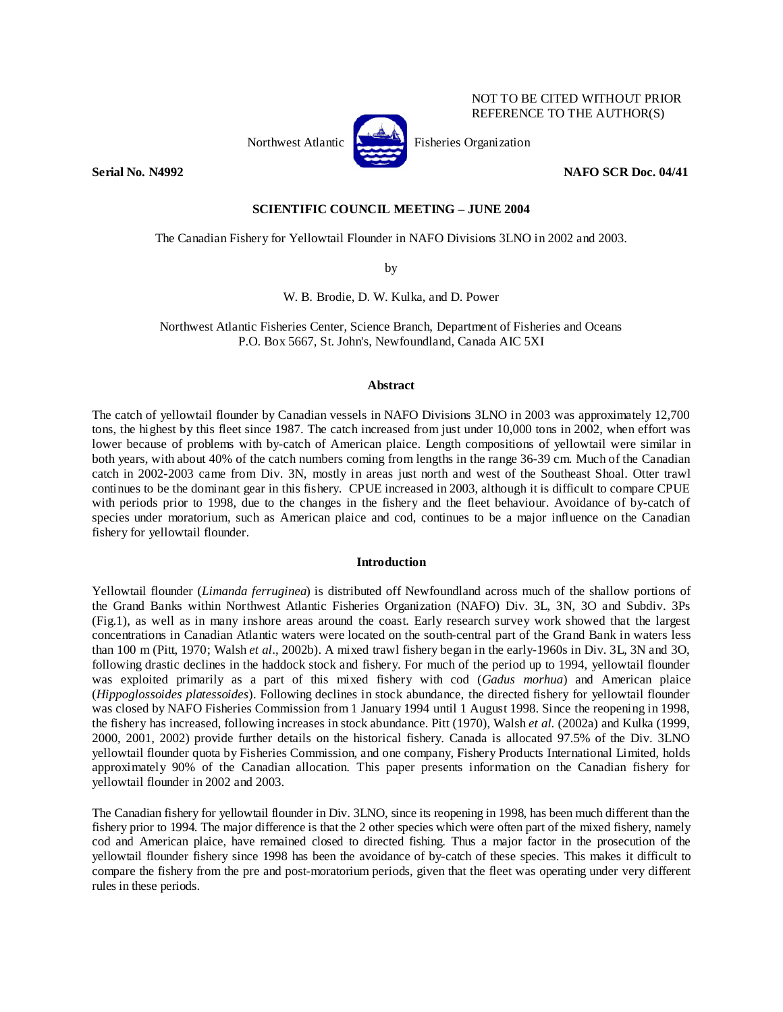

NOT TO BE CITED WITHOUT PRIOR REFERENCE TO THE AUTHOR(S)

## **Serial No. N4992 NAFO SCR Doc. 04/41 NAFO SCR Doc. 04/41**

# **SCIENTIFIC COUNCIL MEETING – JUNE 2004**

The Canadian Fishery for Yellowtail Flounder in NAFO Divisions 3LNO in 2002 and 2003.

by

W. B. Brodie, D. W. Kulka, and D. Power

Northwest Atlantic Fisheries Center, Science Branch, Department of Fisheries and Oceans P.O. Box 5667, St. John's, Newfoundland, Canada AIC 5XI

## **Abstract**

The catch of yellowtail flounder by Canadian vessels in NAFO Divisions 3LNO in 2003 was approximately 12,700 tons, the highest by this fleet since 1987. The catch increased from just under 10,000 tons in 2002, when effort was lower because of problems with by-catch of American plaice. Length compositions of yellowtail were similar in both years, with about 40% of the catch numbers coming from lengths in the range 36-39 cm. Much of the Canadian catch in 2002-2003 came from Div. 3N, mostly in areas just north and west of the Southeast Shoal. Otter trawl continues to be the dominant gear in this fishery. CPUE increased in 2003, although it is difficult to compare CPUE with periods prior to 1998, due to the changes in the fishery and the fleet behaviour. Avoidance of by-catch of species under moratorium, such as American plaice and cod, continues to be a major influence on the Canadian fishery for yellowtail flounder.

# **Introduction**

Yellowtail flounder (*Limanda ferruginea*) is distributed off Newfoundland across much of the shallow portions of the Grand Banks within Northwest Atlantic Fisheries Organization (NAFO) Div. 3L, 3N, 3O and Subdiv. 3Ps (Fig.1), as well as in many inshore areas around the coast. Early research survey work showed that the largest concentrations in Canadian Atlantic waters were located on the south-central part of the Grand Bank in waters less than 100 m (Pitt, 1970; Walsh *et al*., 2002b). A mixed trawl fishery began in the early-1960s in Div. 3L, 3N and 3O, following drastic declines in the haddock stock and fishery. For much of the period up to 1994, yellowtail flounder was exploited primarily as a part of this mixed fishery with cod (*Gadus morhua*) and American plaice (*Hippoglossoides platessoides*). Following declines in stock abundance, the directed fishery for yellowtail flounder was closed by NAFO Fisheries Commission from 1 January 1994 until 1 August 1998. Since the reopening in 1998, the fishery has increased, following increases in stock abundance. Pitt (1970), Walsh *et al.* (2002a) and Kulka (1999, 2000, 2001, 2002) provide further details on the historical fishery. Canada is allocated 97.5% of the Div. 3LNO yellowtail flounder quota by Fisheries Commission, and one company, Fishery Products International Limited, holds approximately 90% of the Canadian allocation. This paper presents information on the Canadian fishery for yellowtail flounder in 2002 and 2003.

The Canadian fishery for yellowtail flounder in Div. 3LNO, since its reopening in 1998, has been much different than the fishery prior to 1994. The major difference is that the 2 other species which were often part of the mixed fishery, namely cod and American plaice, have remained closed to directed fishing. Thus a major factor in the prosecution of the yellowtail flounder fishery since 1998 has been the avoidance of by-catch of these species. This makes it difficult to compare the fishery from the pre and post-moratorium periods, given that the fleet was operating under very different rules in these periods.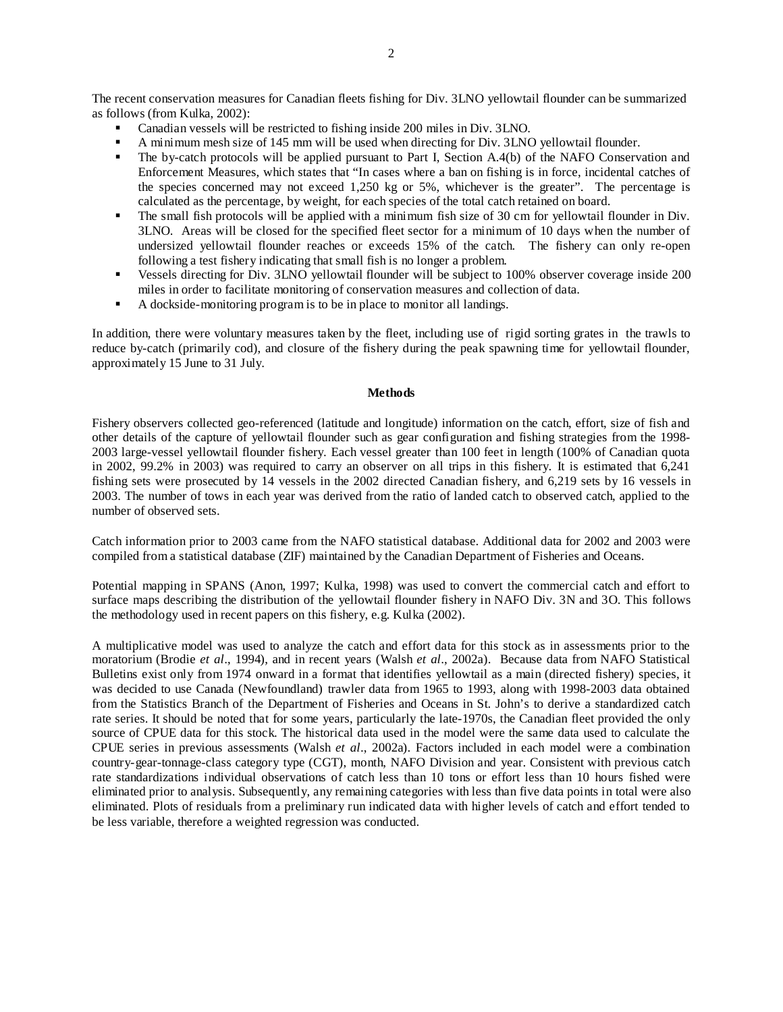The recent conservation measures for Canadian fleets fishing for Div. 3LNO yellowtail flounder can be summarized as follows (from Kulka, 2002):

- Canadian vessels will be restricted to fishing inside 200 miles in Div. 3LNO.
- A minimum mesh size of 145 mm will be used when directing for Div. 3LNO yellowtail flounder.
- The by-catch protocols will be applied pursuant to Part I, Section A.4(b) of the NAFO Conservation and Enforcement Measures, which states that "In cases where a ban on fishing is in force, incidental catches of the species concerned may not exceed 1,250 kg or 5%, whichever is the greater". The percentage is calculated as the percentage, by weight, for each species of the total catch retained on board.
- The small fish protocols will be applied with a minimum fish size of 30 cm for yellowtail flounder in Div. 3LNO. Areas will be closed for the specified fleet sector for a minimum of 10 days when the number of undersized yellowtail flounder reaches or exceeds 15% of the catch. The fishery can only re-open following a test fishery indicating that small fish is no longer a problem.
- Vessels directing for Div. 3LNO yellowtail flounder will be subject to 100% observer coverage inside 200 miles in order to facilitate monitoring of conservation measures and collection of data.
- A dockside-monitoring program is to be in place to monitor all landings.

In addition, there were voluntary measures taken by the fleet, including use of rigid sorting grates in the trawls to reduce by-catch (primarily cod), and closure of the fishery during the peak spawning time for yellowtail flounder, approximately 15 June to 31 July.

### **Methods**

Fishery observers collected geo-referenced (latitude and longitude) information on the catch, effort, size of fish and other details of the capture of yellowtail flounder such as gear configuration and fishing strategies from the 1998- 2003 large-vessel yellowtail flounder fishery. Each vessel greater than 100 feet in length (100% of Canadian quota in 2002, 99.2% in 2003) was required to carry an observer on all trips in this fishery. It is estimated that 6,241 fishing sets were prosecuted by 14 vessels in the 2002 directed Canadian fishery, and 6,219 sets by 16 vessels in 2003. The number of tows in each year was derived from the ratio of landed catch to observed catch, applied to the number of observed sets.

Catch information prior to 2003 came from the NAFO statistical database. Additional data for 2002 and 2003 were compiled from a statistical database (ZIF) maintained by the Canadian Department of Fisheries and Oceans.

Potential mapping in SPANS (Anon, 1997; Kulka, 1998) was used to convert the commercial catch and effort to surface maps describing the distribution of the yellowtail flounder fishery in NAFO Div. 3N and 3O. This follows the methodology used in recent papers on this fishery, e.g. Kulka (2002).

A multiplicative model was used to analyze the catch and effort data for this stock as in assessments prior to the moratorium (Brodie *et al*., 1994), and in recent years (Walsh *et al*., 2002a). Because data from NAFO Statistical Bulletins exist only from 1974 onward in a format that identifies yellowtail as a main (directed fishery) species, it was decided to use Canada (Newfoundland) trawler data from 1965 to 1993, along with 1998-2003 data obtained from the Statistics Branch of the Department of Fisheries and Oceans in St. John's to derive a standardized catch rate series. It should be noted that for some years, particularly the late-1970s, the Canadian fleet provided the only source of CPUE data for this stock. The historical data used in the model were the same data used to calculate the CPUE series in previous assessments (Walsh *et al*., 2002a). Factors included in each model were a combination country-gear-tonnage-class category type (CGT), month, NAFO Division and year. Consistent with previous catch rate standardizations individual observations of catch less than 10 tons or effort less than 10 hours fished were eliminated prior to analysis. Subsequently, any remaining categories with less than five data points in total were also eliminated. Plots of residuals from a preliminary run indicated data with higher levels of catch and effort tended to be less variable, therefore a weighted regression was conducted.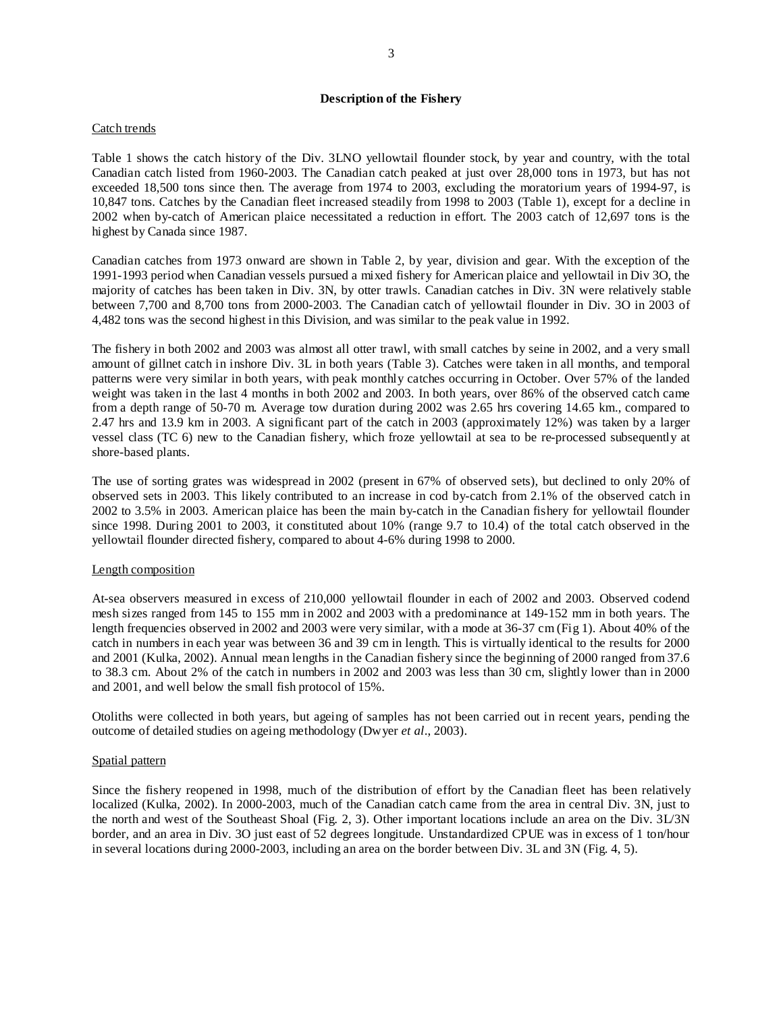# **Description of the Fishery**

### Catch trends

Table 1 shows the catch history of the Div. 3LNO yellowtail flounder stock, by year and country, with the total Canadian catch listed from 1960-2003. The Canadian catch peaked at just over 28,000 tons in 1973, but has not exceeded 18,500 tons since then. The average from 1974 to 2003, excluding the moratorium years of 1994-97, is 10,847 tons. Catches by the Canadian fleet increased steadily from 1998 to 2003 (Table 1), except for a decline in 2002 when by-catch of American plaice necessitated a reduction in effort. The 2003 catch of 12,697 tons is the highest by Canada since 1987.

Canadian catches from 1973 onward are shown in Table 2, by year, division and gear. With the exception of the 1991-1993 period when Canadian vessels pursued a mixed fishery for American plaice and yellowtail in Div 3O, the majority of catches has been taken in Div. 3N, by otter trawls. Canadian catches in Div. 3N were relatively stable between 7,700 and 8,700 tons from 2000-2003. The Canadian catch of yellowtail flounder in Div. 3O in 2003 of 4,482 tons was the second highest in this Division, and was similar to the peak value in 1992.

The fishery in both 2002 and 2003 was almost all otter trawl, with small catches by seine in 2002, and a very small amount of gillnet catch in inshore Div. 3L in both years (Table 3). Catches were taken in all months, and temporal patterns were very similar in both years, with peak monthly catches occurring in October. Over 57% of the landed weight was taken in the last 4 months in both 2002 and 2003. In both years, over 86% of the observed catch came from a depth range of 50-70 m. Average tow duration during 2002 was 2.65 hrs covering 14.65 km., compared to 2.47 hrs and 13.9 km in 2003. A significant part of the catch in 2003 (approximately 12%) was taken by a larger vessel class (TC 6) new to the Canadian fishery, which froze yellowtail at sea to be re-processed subsequently at shore-based plants.

The use of sorting grates was widespread in 2002 (present in 67% of observed sets), but declined to only 20% of observed sets in 2003. This likely contributed to an increase in cod by-catch from 2.1% of the observed catch in 2002 to 3.5% in 2003. American plaice has been the main by-catch in the Canadian fishery for yellowtail flounder since 1998. During 2001 to 2003, it constituted about 10% (range 9.7 to 10.4) of the total catch observed in the yellowtail flounder directed fishery, compared to about 4-6% during 1998 to 2000.

### Length composition

At-sea observers measured in excess of 210,000 yellowtail flounder in each of 2002 and 2003. Observed codend mesh sizes ranged from 145 to 155 mm in 2002 and 2003 with a predominance at 149-152 mm in both years. The length frequencies observed in 2002 and 2003 were very similar, with a mode at 36-37 cm (Fig 1). About 40% of the catch in numbers in each year was between 36 and 39 cm in length. This is virtually identical to the results for 2000 and 2001 (Kulka, 2002). Annual mean lengths in the Canadian fishery since the beginning of 2000 ranged from 37.6 to 38.3 cm. About 2% of the catch in numbers in 2002 and 2003 was less than 30 cm, slightly lower than in 2000 and 2001, and well below the small fish protocol of 15%.

Otoliths were collected in both years, but ageing of samples has not been carried out in recent years, pending the outcome of detailed studies on ageing methodology (Dwyer *et al*., 2003).

### Spatial pattern

Since the fishery reopened in 1998, much of the distribution of effort by the Canadian fleet has been relatively localized (Kulka, 2002). In 2000-2003, much of the Canadian catch came from the area in central Div. 3N, just to the north and west of the Southeast Shoal (Fig. 2, 3). Other important locations include an area on the Div. 3L/3N border, and an area in Div. 3O just east of 52 degrees longitude. Unstandardized CPUE was in excess of 1 ton/hour in several locations during 2000-2003, including an area on the border between Div. 3L and 3N (Fig. 4, 5).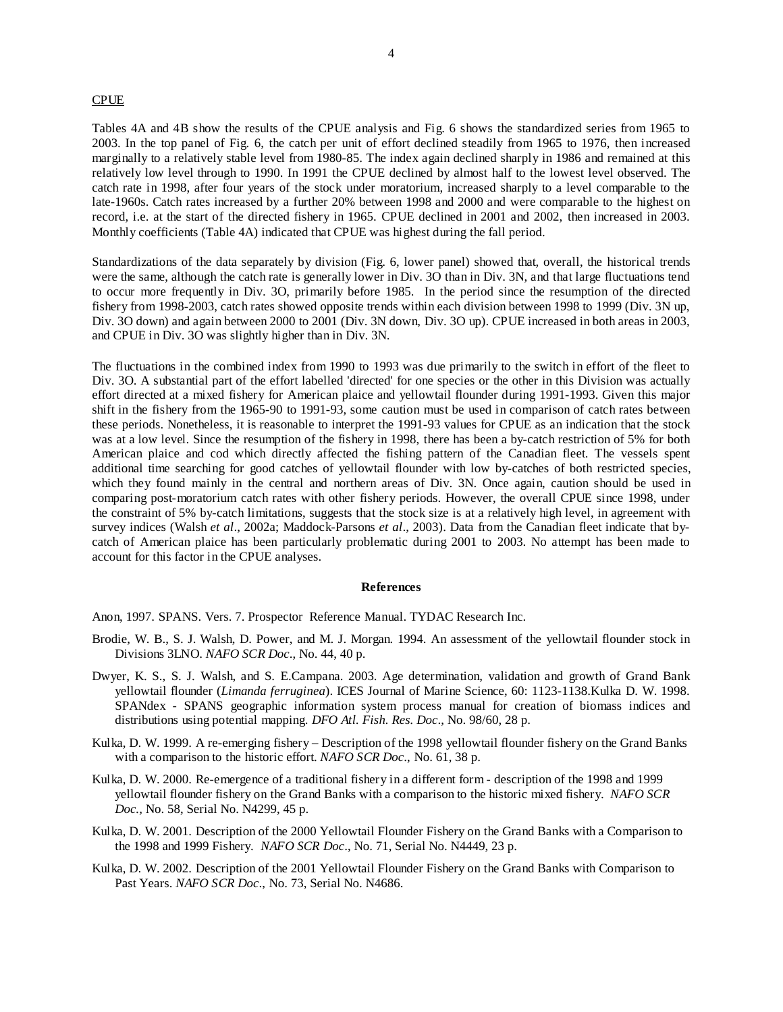#### CPUE

Tables 4A and 4B show the results of the CPUE analysis and Fig. 6 shows the standardized series from 1965 to 2003. In the top panel of Fig. 6, the catch per unit of effort declined steadily from 1965 to 1976, then increased marginally to a relatively stable level from 1980-85. The index again declined sharply in 1986 and remained at this relatively low level through to 1990. In 1991 the CPUE declined by almost half to the lowest level observed. The catch rate in 1998, after four years of the stock under moratorium, increased sharply to a level comparable to the late-1960s. Catch rates increased by a further 20% between 1998 and 2000 and were comparable to the highest on record, i.e. at the start of the directed fishery in 1965. CPUE declined in 2001 and 2002, then increased in 2003. Monthly coefficients (Table 4A) indicated that CPUE was highest during the fall period.

Standardizations of the data separately by division (Fig. 6, lower panel) showed that, overall, the historical trends were the same, although the catch rate is generally lower in Div. 3O than in Div. 3N, and that large fluctuations tend to occur more frequently in Div. 3O, primarily before 1985. In the period since the resumption of the directed fishery from 1998-2003, catch rates showed opposite trends within each division between 1998 to 1999 (Div. 3N up, Div. 3O down) and again between 2000 to 2001 (Div. 3N down, Div. 3O up). CPUE increased in both areas in 2003, and CPUE in Div. 3O was slightly higher than in Div. 3N.

The fluctuations in the combined index from 1990 to 1993 was due primarily to the switch in effort of the fleet to Div. 3O. A substantial part of the effort labelled 'directed' for one species or the other in this Division was actually effort directed at a mixed fishery for American plaice and yellowtail flounder during 1991-1993. Given this major shift in the fishery from the 1965-90 to 1991-93, some caution must be used in comparison of catch rates between these periods. Nonetheless, it is reasonable to interpret the 1991-93 values for CPUE as an indication that the stock was at a low level. Since the resumption of the fishery in 1998, there has been a by-catch restriction of 5% for both American plaice and cod which directly affected the fishing pattern of the Canadian fleet. The vessels spent additional time searching for good catches of yellowtail flounder with low by-catches of both restricted species, which they found mainly in the central and northern areas of Div. 3N. Once again, caution should be used in comparing post-moratorium catch rates with other fishery periods. However, the overall CPUE since 1998, under the constraint of 5% by-catch limitations, suggests that the stock size is at a relatively high level, in agreement with survey indices (Walsh *et al*., 2002a; Maddock-Parsons *et al*., 2003). Data from the Canadian fleet indicate that bycatch of American plaice has been particularly problematic during 2001 to 2003. No attempt has been made to account for this factor in the CPUE analyses.

#### **References**

Anon, 1997. SPANS. Vers. 7. Prospector Reference Manual. TYDAC Research Inc.

- Brodie, W. B., S. J. Walsh, D. Power, and M. J. Morgan. 1994. An assessment of the yellowtail flounder stock in Divisions 3LNO. *NAFO SCR Doc*., No. 44, 40 p.
- Dwyer, K. S., S. J. Walsh, and S. E.Campana. 2003. Age determination, validation and growth of Grand Bank yellowtail flounder (*Limanda ferruginea*). ICES Journal of Marine Science, 60: 1123-1138.Kulka D. W. 1998. SPANdex - SPANS geographic information system process manual for creation of biomass indices and distributions using potential mapping. *DFO Atl. Fish. Res. Doc*., No. 98/60, 28 p.
- Kulka, D. W. 1999. A re-emerging fishery Description of the 1998 yellowtail flounder fishery on the Grand Banks with a comparison to the historic effort. *NAFO SCR Doc*., No. 61, 38 p.
- Kulka, D. W. 2000. Re-emergence of a traditional fishery in a different form description of the 1998 and 1999 yellowtail flounder fishery on the Grand Banks with a comparison to the historic mixed fishery. *NAFO SCR Doc.,* No. 58, Serial No. N4299, 45 p.
- Kulka, D. W. 2001. Description of the 2000 Yellowtail Flounder Fishery on the Grand Banks with a Comparison to the 1998 and 1999 Fishery. *NAFO SCR Doc*., No. 71, Serial No. N4449, 23 p.
- Kulka, D. W. 2002. Description of the 2001 Yellowtail Flounder Fishery on the Grand Banks with Comparison to Past Years. *NAFO SCR Doc*., No. 73, Serial No. N4686.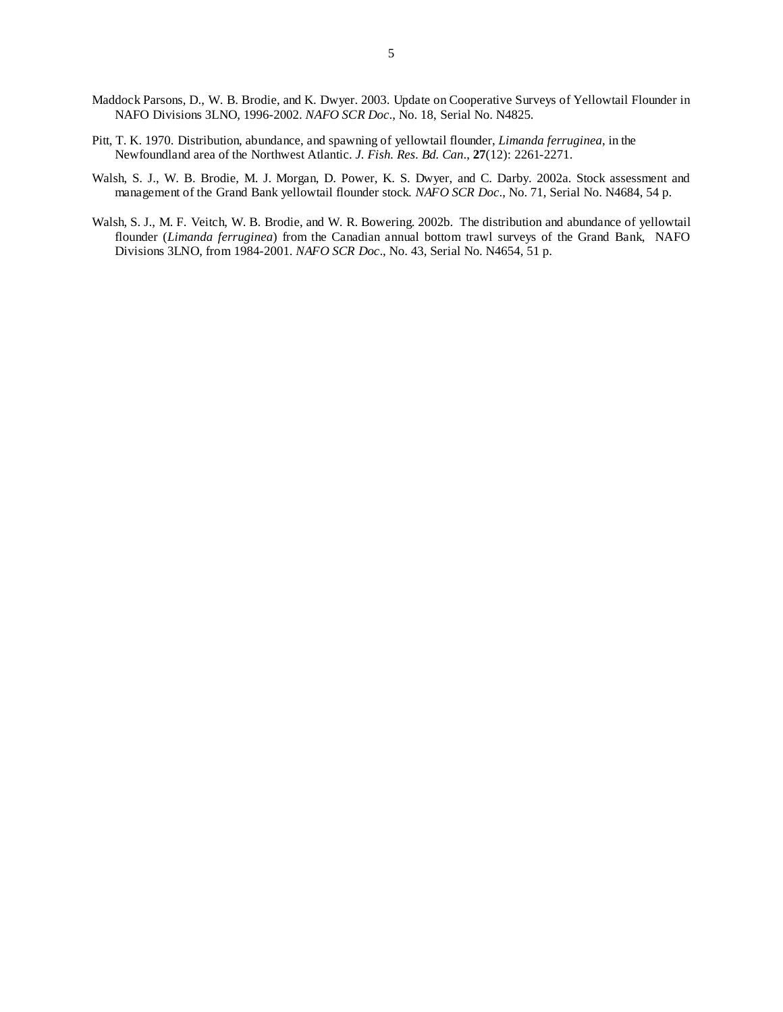- Maddock Parsons, D., W. B. Brodie, and K. Dwyer. 2003. Update on Cooperative Surveys of Yellowtail Flounder in NAFO Divisions 3LNO, 1996-2002. *NAFO SCR Doc*., No. 18, Serial No. N4825.
- Pitt, T. K. 1970. Distribution, abundance, and spawning of yellowtail flounder, *Limanda ferruginea*, in the Newfoundland area of the Northwest Atlantic. *J. Fish. Res. Bd. Can*., **27**(12): 2261-2271.
- Walsh, S. J., W. B. Brodie, M. J. Morgan, D. Power, K. S. Dwyer, and C. Darby. 2002a. Stock assessment and management of the Grand Bank yellowtail flounder stock. *NAFO SCR Doc*., No. 71, Serial No. N4684, 54 p.
- Walsh, S. J., M. F. Veitch, W. B. Brodie, and W. R. Bowering. 2002b. The distribution and abundance of yellowtail flounder (*Limanda ferruginea*) from the Canadian annual bottom trawl surveys of the Grand Bank, NAFO Divisions 3LNO, from 1984-2001. *NAFO SCR Doc*., No. 43, Serial No. N4654, 51 p.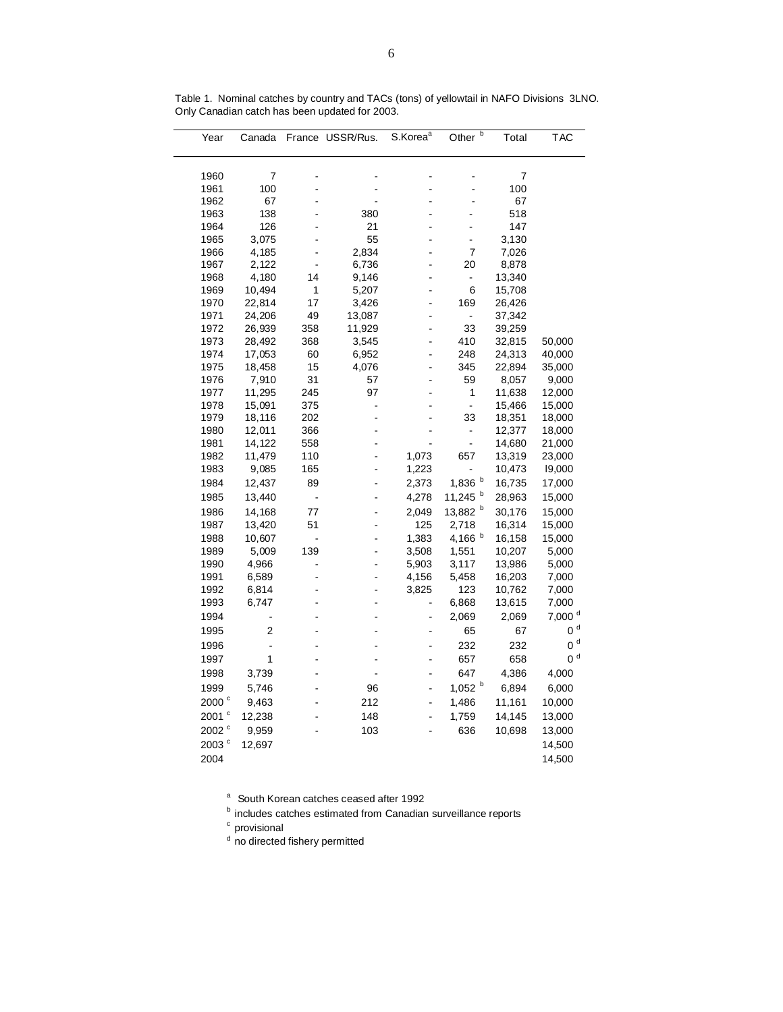| 7<br>1960<br>7<br>1961<br>100<br>100<br>67<br>67<br>1962<br>138<br>380<br>518<br>1963<br>L.<br>21<br>1964<br>126<br>147<br>L,<br>3,075<br>55<br>3,130<br>1965<br>-<br>L<br>4,185<br>2,834<br>$\overline{7}$<br>7,026<br>1966<br>L<br>2,122<br>6,736<br>20<br>1967<br>8,878<br>-<br>4,180<br>14<br>13,340<br>1968<br>9,146<br>÷,<br>1<br>1969<br>10,494<br>5,207<br>6<br>15,708<br>17<br>1970<br>22,814<br>3,426<br>169<br>26,426<br>1971<br>24,206<br>49<br>13,087<br>37,342<br>$\frac{1}{2}$<br>-<br>33<br>11,929<br>1972<br>26,939<br>358<br>39,259<br>410<br>1973<br>28,492<br>368<br>3,545<br>32,815<br>50,000<br>248<br>1974<br>17,053<br>60<br>6,952<br>24,313<br>40,000<br>1975<br>15<br>4,076<br>345<br>22,894<br>18,458<br>35,000<br>-<br>31<br>7,910<br>59<br>1976<br>57<br>8,057<br>9,000<br>11,295<br>245<br>97<br>1<br>11,638<br>1977<br>12,000<br>1978<br>15,091<br>375<br>$\overline{\phantom{a}}$<br>15,466<br>15,000<br>33<br>1979<br>18,116<br>202<br>18,351<br>18,000<br>1980<br>12,011<br>366<br>12,377<br>18,000<br>-<br>1981<br>14,122<br>558<br>÷,<br>14,680<br>21,000<br>1982<br>11,479<br>110<br>1,073<br>657<br>13,319<br>23,000<br>1983<br>9,085<br>165<br>1,223<br>10,473<br>19,000<br>1,836 b<br>1984<br>12,437<br>89<br>2,373<br>16,735<br>17,000<br>11,245 b<br>1985<br>13,440<br>4,278<br>28,963<br>15,000<br>$\overline{\phantom{a}}$<br>L<br>$\mathbf{b}$<br>14,168<br>77<br>2,049<br>13,882<br>30,176<br>1986<br>15,000<br>L.<br>51<br>125<br>1987<br>13,420<br>2,718<br>16,314<br>15,000<br>4,166 b<br>1988<br>10,607<br>1,383<br>16,158<br>15,000<br>-<br>1989<br>5,009<br>139<br>3,508<br>1,551<br>10,207<br>5,000<br>1990<br>4,966<br>5,903<br>3,117<br>13,986<br>5,000<br>1991<br>6,589<br>4,156<br>5,458<br>16,203<br>7,000<br>1992<br>6,814<br>3,825<br>123<br>10,762<br>7,000<br>6,868<br>1993<br>6,747<br>13,615<br>7,000<br>7,000 <sup>d</sup><br>1994<br>2,069<br>2,069<br>$0d$<br>1995<br>2<br>65<br>67<br>L<br>$0d$<br>232<br>1996<br>232<br>$\overline{a}$<br>0 <sup>d</sup><br>1997<br>1<br>657<br>658<br>-<br>647<br>1998<br>3,739<br>4,386<br>4,000<br>L<br>$1,052$ b<br>6,894<br>1999<br>5,746<br>96<br>6,000<br>-<br>2000 <sup>c</sup><br>212<br>1,486<br>9,463<br>11,161<br>10,000<br>$\overline{a}$<br>2001 °<br>12,238<br>148<br>1,759<br>14,145<br>13,000<br>÷,<br>2002 <sup>c</sup><br>636<br>9,959<br>103<br>10,698<br>13,000<br>2003 $^{\circ}$<br>12,697<br>14,500 | Year | Canada | France | USSR/Rus. | S.Korea <sup>a</sup> | b<br>Other | Total | <b>TAC</b> |
|----------------------------------------------------------------------------------------------------------------------------------------------------------------------------------------------------------------------------------------------------------------------------------------------------------------------------------------------------------------------------------------------------------------------------------------------------------------------------------------------------------------------------------------------------------------------------------------------------------------------------------------------------------------------------------------------------------------------------------------------------------------------------------------------------------------------------------------------------------------------------------------------------------------------------------------------------------------------------------------------------------------------------------------------------------------------------------------------------------------------------------------------------------------------------------------------------------------------------------------------------------------------------------------------------------------------------------------------------------------------------------------------------------------------------------------------------------------------------------------------------------------------------------------------------------------------------------------------------------------------------------------------------------------------------------------------------------------------------------------------------------------------------------------------------------------------------------------------------------------------------------------------------------------------------------------------------------------------------------------------------------------------------------------------------------------------------------------------------------------------------------------------------------------------------------------------------------------------------------------------------------------------------------------------------------------------------------------------------------------------------------------------------------------------------------|------|--------|--------|-----------|----------------------|------------|-------|------------|
|                                                                                                                                                                                                                                                                                                                                                                                                                                                                                                                                                                                                                                                                                                                                                                                                                                                                                                                                                                                                                                                                                                                                                                                                                                                                                                                                                                                                                                                                                                                                                                                                                                                                                                                                                                                                                                                                                                                                                                                                                                                                                                                                                                                                                                                                                                                                                                                                                                  |      |        |        |           |                      |            |       |            |
|                                                                                                                                                                                                                                                                                                                                                                                                                                                                                                                                                                                                                                                                                                                                                                                                                                                                                                                                                                                                                                                                                                                                                                                                                                                                                                                                                                                                                                                                                                                                                                                                                                                                                                                                                                                                                                                                                                                                                                                                                                                                                                                                                                                                                                                                                                                                                                                                                                  |      |        |        |           |                      |            |       |            |
|                                                                                                                                                                                                                                                                                                                                                                                                                                                                                                                                                                                                                                                                                                                                                                                                                                                                                                                                                                                                                                                                                                                                                                                                                                                                                                                                                                                                                                                                                                                                                                                                                                                                                                                                                                                                                                                                                                                                                                                                                                                                                                                                                                                                                                                                                                                                                                                                                                  |      |        |        |           |                      |            |       |            |
|                                                                                                                                                                                                                                                                                                                                                                                                                                                                                                                                                                                                                                                                                                                                                                                                                                                                                                                                                                                                                                                                                                                                                                                                                                                                                                                                                                                                                                                                                                                                                                                                                                                                                                                                                                                                                                                                                                                                                                                                                                                                                                                                                                                                                                                                                                                                                                                                                                  |      |        |        |           |                      |            |       |            |
|                                                                                                                                                                                                                                                                                                                                                                                                                                                                                                                                                                                                                                                                                                                                                                                                                                                                                                                                                                                                                                                                                                                                                                                                                                                                                                                                                                                                                                                                                                                                                                                                                                                                                                                                                                                                                                                                                                                                                                                                                                                                                                                                                                                                                                                                                                                                                                                                                                  |      |        |        |           |                      |            |       |            |
|                                                                                                                                                                                                                                                                                                                                                                                                                                                                                                                                                                                                                                                                                                                                                                                                                                                                                                                                                                                                                                                                                                                                                                                                                                                                                                                                                                                                                                                                                                                                                                                                                                                                                                                                                                                                                                                                                                                                                                                                                                                                                                                                                                                                                                                                                                                                                                                                                                  |      |        |        |           |                      |            |       |            |
|                                                                                                                                                                                                                                                                                                                                                                                                                                                                                                                                                                                                                                                                                                                                                                                                                                                                                                                                                                                                                                                                                                                                                                                                                                                                                                                                                                                                                                                                                                                                                                                                                                                                                                                                                                                                                                                                                                                                                                                                                                                                                                                                                                                                                                                                                                                                                                                                                                  |      |        |        |           |                      |            |       |            |
|                                                                                                                                                                                                                                                                                                                                                                                                                                                                                                                                                                                                                                                                                                                                                                                                                                                                                                                                                                                                                                                                                                                                                                                                                                                                                                                                                                                                                                                                                                                                                                                                                                                                                                                                                                                                                                                                                                                                                                                                                                                                                                                                                                                                                                                                                                                                                                                                                                  |      |        |        |           |                      |            |       |            |
|                                                                                                                                                                                                                                                                                                                                                                                                                                                                                                                                                                                                                                                                                                                                                                                                                                                                                                                                                                                                                                                                                                                                                                                                                                                                                                                                                                                                                                                                                                                                                                                                                                                                                                                                                                                                                                                                                                                                                                                                                                                                                                                                                                                                                                                                                                                                                                                                                                  |      |        |        |           |                      |            |       |            |
|                                                                                                                                                                                                                                                                                                                                                                                                                                                                                                                                                                                                                                                                                                                                                                                                                                                                                                                                                                                                                                                                                                                                                                                                                                                                                                                                                                                                                                                                                                                                                                                                                                                                                                                                                                                                                                                                                                                                                                                                                                                                                                                                                                                                                                                                                                                                                                                                                                  |      |        |        |           |                      |            |       |            |
|                                                                                                                                                                                                                                                                                                                                                                                                                                                                                                                                                                                                                                                                                                                                                                                                                                                                                                                                                                                                                                                                                                                                                                                                                                                                                                                                                                                                                                                                                                                                                                                                                                                                                                                                                                                                                                                                                                                                                                                                                                                                                                                                                                                                                                                                                                                                                                                                                                  |      |        |        |           |                      |            |       |            |
|                                                                                                                                                                                                                                                                                                                                                                                                                                                                                                                                                                                                                                                                                                                                                                                                                                                                                                                                                                                                                                                                                                                                                                                                                                                                                                                                                                                                                                                                                                                                                                                                                                                                                                                                                                                                                                                                                                                                                                                                                                                                                                                                                                                                                                                                                                                                                                                                                                  |      |        |        |           |                      |            |       |            |
|                                                                                                                                                                                                                                                                                                                                                                                                                                                                                                                                                                                                                                                                                                                                                                                                                                                                                                                                                                                                                                                                                                                                                                                                                                                                                                                                                                                                                                                                                                                                                                                                                                                                                                                                                                                                                                                                                                                                                                                                                                                                                                                                                                                                                                                                                                                                                                                                                                  |      |        |        |           |                      |            |       |            |
|                                                                                                                                                                                                                                                                                                                                                                                                                                                                                                                                                                                                                                                                                                                                                                                                                                                                                                                                                                                                                                                                                                                                                                                                                                                                                                                                                                                                                                                                                                                                                                                                                                                                                                                                                                                                                                                                                                                                                                                                                                                                                                                                                                                                                                                                                                                                                                                                                                  |      |        |        |           |                      |            |       |            |
|                                                                                                                                                                                                                                                                                                                                                                                                                                                                                                                                                                                                                                                                                                                                                                                                                                                                                                                                                                                                                                                                                                                                                                                                                                                                                                                                                                                                                                                                                                                                                                                                                                                                                                                                                                                                                                                                                                                                                                                                                                                                                                                                                                                                                                                                                                                                                                                                                                  |      |        |        |           |                      |            |       |            |
|                                                                                                                                                                                                                                                                                                                                                                                                                                                                                                                                                                                                                                                                                                                                                                                                                                                                                                                                                                                                                                                                                                                                                                                                                                                                                                                                                                                                                                                                                                                                                                                                                                                                                                                                                                                                                                                                                                                                                                                                                                                                                                                                                                                                                                                                                                                                                                                                                                  |      |        |        |           |                      |            |       |            |
|                                                                                                                                                                                                                                                                                                                                                                                                                                                                                                                                                                                                                                                                                                                                                                                                                                                                                                                                                                                                                                                                                                                                                                                                                                                                                                                                                                                                                                                                                                                                                                                                                                                                                                                                                                                                                                                                                                                                                                                                                                                                                                                                                                                                                                                                                                                                                                                                                                  |      |        |        |           |                      |            |       |            |
|                                                                                                                                                                                                                                                                                                                                                                                                                                                                                                                                                                                                                                                                                                                                                                                                                                                                                                                                                                                                                                                                                                                                                                                                                                                                                                                                                                                                                                                                                                                                                                                                                                                                                                                                                                                                                                                                                                                                                                                                                                                                                                                                                                                                                                                                                                                                                                                                                                  |      |        |        |           |                      |            |       |            |
|                                                                                                                                                                                                                                                                                                                                                                                                                                                                                                                                                                                                                                                                                                                                                                                                                                                                                                                                                                                                                                                                                                                                                                                                                                                                                                                                                                                                                                                                                                                                                                                                                                                                                                                                                                                                                                                                                                                                                                                                                                                                                                                                                                                                                                                                                                                                                                                                                                  |      |        |        |           |                      |            |       |            |
|                                                                                                                                                                                                                                                                                                                                                                                                                                                                                                                                                                                                                                                                                                                                                                                                                                                                                                                                                                                                                                                                                                                                                                                                                                                                                                                                                                                                                                                                                                                                                                                                                                                                                                                                                                                                                                                                                                                                                                                                                                                                                                                                                                                                                                                                                                                                                                                                                                  |      |        |        |           |                      |            |       |            |
|                                                                                                                                                                                                                                                                                                                                                                                                                                                                                                                                                                                                                                                                                                                                                                                                                                                                                                                                                                                                                                                                                                                                                                                                                                                                                                                                                                                                                                                                                                                                                                                                                                                                                                                                                                                                                                                                                                                                                                                                                                                                                                                                                                                                                                                                                                                                                                                                                                  |      |        |        |           |                      |            |       |            |
|                                                                                                                                                                                                                                                                                                                                                                                                                                                                                                                                                                                                                                                                                                                                                                                                                                                                                                                                                                                                                                                                                                                                                                                                                                                                                                                                                                                                                                                                                                                                                                                                                                                                                                                                                                                                                                                                                                                                                                                                                                                                                                                                                                                                                                                                                                                                                                                                                                  |      |        |        |           |                      |            |       |            |
|                                                                                                                                                                                                                                                                                                                                                                                                                                                                                                                                                                                                                                                                                                                                                                                                                                                                                                                                                                                                                                                                                                                                                                                                                                                                                                                                                                                                                                                                                                                                                                                                                                                                                                                                                                                                                                                                                                                                                                                                                                                                                                                                                                                                                                                                                                                                                                                                                                  |      |        |        |           |                      |            |       |            |
|                                                                                                                                                                                                                                                                                                                                                                                                                                                                                                                                                                                                                                                                                                                                                                                                                                                                                                                                                                                                                                                                                                                                                                                                                                                                                                                                                                                                                                                                                                                                                                                                                                                                                                                                                                                                                                                                                                                                                                                                                                                                                                                                                                                                                                                                                                                                                                                                                                  |      |        |        |           |                      |            |       |            |
|                                                                                                                                                                                                                                                                                                                                                                                                                                                                                                                                                                                                                                                                                                                                                                                                                                                                                                                                                                                                                                                                                                                                                                                                                                                                                                                                                                                                                                                                                                                                                                                                                                                                                                                                                                                                                                                                                                                                                                                                                                                                                                                                                                                                                                                                                                                                                                                                                                  |      |        |        |           |                      |            |       |            |
|                                                                                                                                                                                                                                                                                                                                                                                                                                                                                                                                                                                                                                                                                                                                                                                                                                                                                                                                                                                                                                                                                                                                                                                                                                                                                                                                                                                                                                                                                                                                                                                                                                                                                                                                                                                                                                                                                                                                                                                                                                                                                                                                                                                                                                                                                                                                                                                                                                  |      |        |        |           |                      |            |       |            |
|                                                                                                                                                                                                                                                                                                                                                                                                                                                                                                                                                                                                                                                                                                                                                                                                                                                                                                                                                                                                                                                                                                                                                                                                                                                                                                                                                                                                                                                                                                                                                                                                                                                                                                                                                                                                                                                                                                                                                                                                                                                                                                                                                                                                                                                                                                                                                                                                                                  |      |        |        |           |                      |            |       |            |
|                                                                                                                                                                                                                                                                                                                                                                                                                                                                                                                                                                                                                                                                                                                                                                                                                                                                                                                                                                                                                                                                                                                                                                                                                                                                                                                                                                                                                                                                                                                                                                                                                                                                                                                                                                                                                                                                                                                                                                                                                                                                                                                                                                                                                                                                                                                                                                                                                                  |      |        |        |           |                      |            |       |            |
|                                                                                                                                                                                                                                                                                                                                                                                                                                                                                                                                                                                                                                                                                                                                                                                                                                                                                                                                                                                                                                                                                                                                                                                                                                                                                                                                                                                                                                                                                                                                                                                                                                                                                                                                                                                                                                                                                                                                                                                                                                                                                                                                                                                                                                                                                                                                                                                                                                  |      |        |        |           |                      |            |       |            |
|                                                                                                                                                                                                                                                                                                                                                                                                                                                                                                                                                                                                                                                                                                                                                                                                                                                                                                                                                                                                                                                                                                                                                                                                                                                                                                                                                                                                                                                                                                                                                                                                                                                                                                                                                                                                                                                                                                                                                                                                                                                                                                                                                                                                                                                                                                                                                                                                                                  |      |        |        |           |                      |            |       |            |
|                                                                                                                                                                                                                                                                                                                                                                                                                                                                                                                                                                                                                                                                                                                                                                                                                                                                                                                                                                                                                                                                                                                                                                                                                                                                                                                                                                                                                                                                                                                                                                                                                                                                                                                                                                                                                                                                                                                                                                                                                                                                                                                                                                                                                                                                                                                                                                                                                                  |      |        |        |           |                      |            |       |            |
|                                                                                                                                                                                                                                                                                                                                                                                                                                                                                                                                                                                                                                                                                                                                                                                                                                                                                                                                                                                                                                                                                                                                                                                                                                                                                                                                                                                                                                                                                                                                                                                                                                                                                                                                                                                                                                                                                                                                                                                                                                                                                                                                                                                                                                                                                                                                                                                                                                  |      |        |        |           |                      |            |       |            |
|                                                                                                                                                                                                                                                                                                                                                                                                                                                                                                                                                                                                                                                                                                                                                                                                                                                                                                                                                                                                                                                                                                                                                                                                                                                                                                                                                                                                                                                                                                                                                                                                                                                                                                                                                                                                                                                                                                                                                                                                                                                                                                                                                                                                                                                                                                                                                                                                                                  |      |        |        |           |                      |            |       |            |
|                                                                                                                                                                                                                                                                                                                                                                                                                                                                                                                                                                                                                                                                                                                                                                                                                                                                                                                                                                                                                                                                                                                                                                                                                                                                                                                                                                                                                                                                                                                                                                                                                                                                                                                                                                                                                                                                                                                                                                                                                                                                                                                                                                                                                                                                                                                                                                                                                                  |      |        |        |           |                      |            |       |            |
|                                                                                                                                                                                                                                                                                                                                                                                                                                                                                                                                                                                                                                                                                                                                                                                                                                                                                                                                                                                                                                                                                                                                                                                                                                                                                                                                                                                                                                                                                                                                                                                                                                                                                                                                                                                                                                                                                                                                                                                                                                                                                                                                                                                                                                                                                                                                                                                                                                  |      |        |        |           |                      |            |       |            |
|                                                                                                                                                                                                                                                                                                                                                                                                                                                                                                                                                                                                                                                                                                                                                                                                                                                                                                                                                                                                                                                                                                                                                                                                                                                                                                                                                                                                                                                                                                                                                                                                                                                                                                                                                                                                                                                                                                                                                                                                                                                                                                                                                                                                                                                                                                                                                                                                                                  |      |        |        |           |                      |            |       |            |
|                                                                                                                                                                                                                                                                                                                                                                                                                                                                                                                                                                                                                                                                                                                                                                                                                                                                                                                                                                                                                                                                                                                                                                                                                                                                                                                                                                                                                                                                                                                                                                                                                                                                                                                                                                                                                                                                                                                                                                                                                                                                                                                                                                                                                                                                                                                                                                                                                                  |      |        |        |           |                      |            |       |            |
|                                                                                                                                                                                                                                                                                                                                                                                                                                                                                                                                                                                                                                                                                                                                                                                                                                                                                                                                                                                                                                                                                                                                                                                                                                                                                                                                                                                                                                                                                                                                                                                                                                                                                                                                                                                                                                                                                                                                                                                                                                                                                                                                                                                                                                                                                                                                                                                                                                  |      |        |        |           |                      |            |       |            |
|                                                                                                                                                                                                                                                                                                                                                                                                                                                                                                                                                                                                                                                                                                                                                                                                                                                                                                                                                                                                                                                                                                                                                                                                                                                                                                                                                                                                                                                                                                                                                                                                                                                                                                                                                                                                                                                                                                                                                                                                                                                                                                                                                                                                                                                                                                                                                                                                                                  |      |        |        |           |                      |            |       |            |
|                                                                                                                                                                                                                                                                                                                                                                                                                                                                                                                                                                                                                                                                                                                                                                                                                                                                                                                                                                                                                                                                                                                                                                                                                                                                                                                                                                                                                                                                                                                                                                                                                                                                                                                                                                                                                                                                                                                                                                                                                                                                                                                                                                                                                                                                                                                                                                                                                                  |      |        |        |           |                      |            |       |            |
|                                                                                                                                                                                                                                                                                                                                                                                                                                                                                                                                                                                                                                                                                                                                                                                                                                                                                                                                                                                                                                                                                                                                                                                                                                                                                                                                                                                                                                                                                                                                                                                                                                                                                                                                                                                                                                                                                                                                                                                                                                                                                                                                                                                                                                                                                                                                                                                                                                  |      |        |        |           |                      |            |       |            |
|                                                                                                                                                                                                                                                                                                                                                                                                                                                                                                                                                                                                                                                                                                                                                                                                                                                                                                                                                                                                                                                                                                                                                                                                                                                                                                                                                                                                                                                                                                                                                                                                                                                                                                                                                                                                                                                                                                                                                                                                                                                                                                                                                                                                                                                                                                                                                                                                                                  |      |        |        |           |                      |            |       |            |
|                                                                                                                                                                                                                                                                                                                                                                                                                                                                                                                                                                                                                                                                                                                                                                                                                                                                                                                                                                                                                                                                                                                                                                                                                                                                                                                                                                                                                                                                                                                                                                                                                                                                                                                                                                                                                                                                                                                                                                                                                                                                                                                                                                                                                                                                                                                                                                                                                                  |      |        |        |           |                      |            |       |            |
|                                                                                                                                                                                                                                                                                                                                                                                                                                                                                                                                                                                                                                                                                                                                                                                                                                                                                                                                                                                                                                                                                                                                                                                                                                                                                                                                                                                                                                                                                                                                                                                                                                                                                                                                                                                                                                                                                                                                                                                                                                                                                                                                                                                                                                                                                                                                                                                                                                  |      |        |        |           |                      |            |       |            |
|                                                                                                                                                                                                                                                                                                                                                                                                                                                                                                                                                                                                                                                                                                                                                                                                                                                                                                                                                                                                                                                                                                                                                                                                                                                                                                                                                                                                                                                                                                                                                                                                                                                                                                                                                                                                                                                                                                                                                                                                                                                                                                                                                                                                                                                                                                                                                                                                                                  | 2004 |        |        |           |                      |            |       | 14,500     |

Table 1. Nominal catches by country and TACs (tons) of yellowtail in NAFO Divisions 3LNO. Only Canadian catch has been updated for 2003.

a South Korean catches ceased after 1992

**b** includes catches estimated from Canadian surveillance reports

<sup>c</sup> provisional

<sup>d</sup> no directed fishery permitted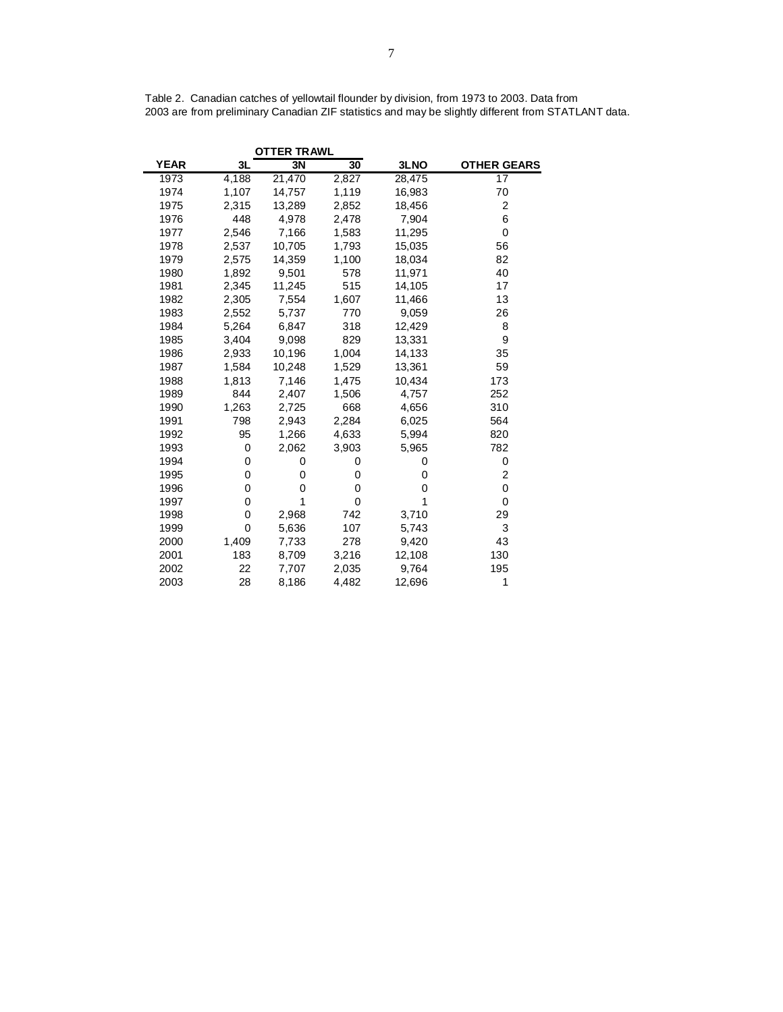|             |       | <b>OTTER TRAWL</b> |       |        |                    |
|-------------|-------|--------------------|-------|--------|--------------------|
| <b>YEAR</b> | 3L    | 3N                 | 30    | 3LNO   | <b>OTHER GEARS</b> |
| 1973        | 4,188 | 21,470             | 2,827 | 28,475 | 17                 |
| 1974        | 1,107 | 14,757             | 1,119 | 16,983 | 70                 |
| 1975        | 2,315 | 13,289             | 2,852 | 18,456 | $\overline{2}$     |
| 1976        | 448   | 4,978              | 2,478 | 7,904  | 6                  |
| 1977        | 2,546 | 7,166              | 1,583 | 11,295 | 0                  |
| 1978        | 2,537 | 10,705             | 1,793 | 15,035 | 56                 |
| 1979        | 2,575 | 14,359             | 1,100 | 18,034 | 82                 |
| 1980        | 1,892 | 9,501              | 578   | 11,971 | 40                 |
| 1981        | 2,345 | 11,245             | 515   | 14,105 | 17                 |
| 1982        | 2,305 | 7,554              | 1,607 | 11,466 | 13                 |
| 1983        | 2,552 | 5,737              | 770   | 9,059  | 26                 |
| 1984        | 5,264 | 6,847              | 318   | 12,429 | 8                  |
| 1985        | 3,404 | 9,098              | 829   | 13,331 | 9                  |
| 1986        | 2,933 | 10,196             | 1,004 | 14,133 | 35                 |
| 1987        | 1,584 | 10,248             | 1,529 | 13,361 | 59                 |
| 1988        | 1,813 | 7,146              | 1,475 | 10,434 | 173                |
| 1989        | 844   | 2,407              | 1,506 | 4,757  | 252                |
| 1990        | 1,263 | 2,725              | 668   | 4,656  | 310                |
| 1991        | 798   | 2,943              | 2,284 | 6,025  | 564                |
| 1992        | 95    | 1,266              | 4,633 | 5,994  | 820                |
| 1993        | 0     | 2,062              | 3,903 | 5,965  | 782                |
| 1994        | 0     | 0                  | 0     | 0      | 0                  |
| 1995        | 0     | 0                  | 0     | 0      | 2                  |
| 1996        | 0     | 0                  | 0     | 0      | 0                  |
| 1997        | 0     | 1                  | 0     | 1      | 0                  |
| 1998        | 0     | 2,968              | 742   | 3,710  | 29                 |
| 1999        | 0     | 5,636              | 107   | 5,743  | 3                  |
| 2000        | 1,409 | 7,733              | 278   | 9,420  | 43                 |
| 2001        | 183   | 8,709              | 3,216 | 12,108 | 130                |
| 2002        | 22    | 7,707              | 2,035 | 9,764  | 195                |
| 2003        | 28    | 8,186              | 4,482 | 12,696 | 1                  |

Table 2. Canadian catches of yellowtail flounder by division, from 1973 to 2003. Data from 2003 are from preliminary Canadian ZIF statistics and may be slightly different from STATLANT data.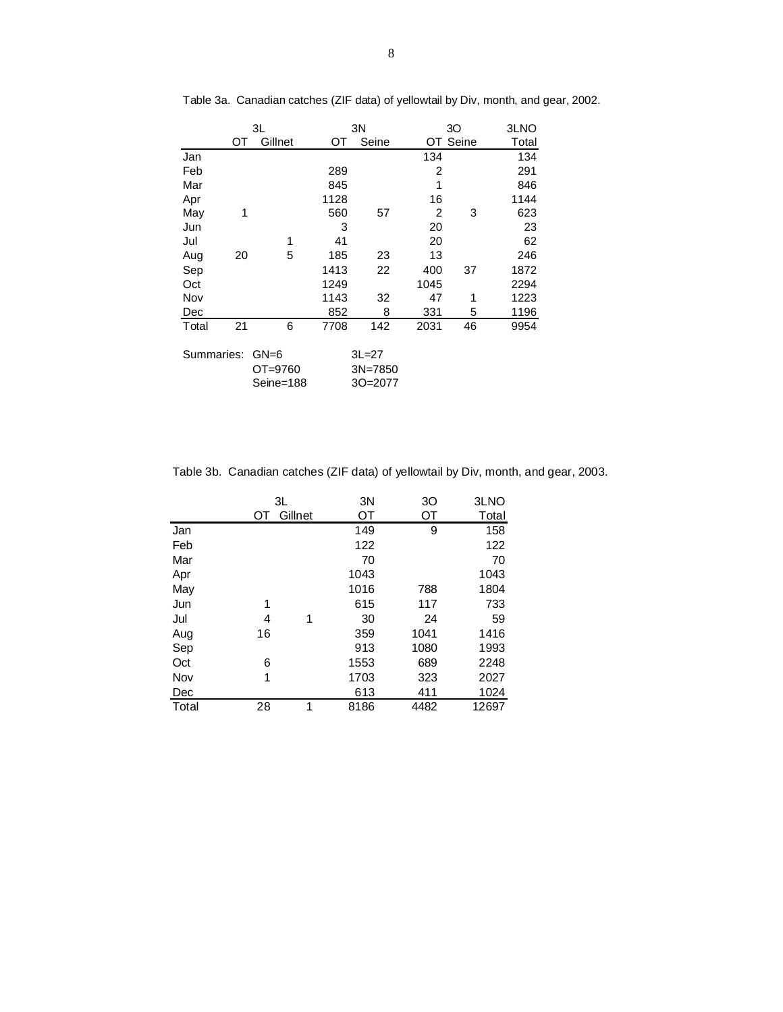|            |    | 3L                             | 3N   |                                 |      | 30    | 3LNO  |
|------------|----|--------------------------------|------|---------------------------------|------|-------|-------|
|            | ОТ | Gillnet                        | OТ   | Seine                           | OT   | Seine | Total |
| Jan        |    |                                |      |                                 | 134  |       | 134   |
| Feb        |    |                                | 289  |                                 | 2    |       | 291   |
| Mar        |    |                                | 845  |                                 | 1    |       | 846   |
| Apr        |    |                                | 1128 |                                 | 16   |       | 1144  |
| May        | 1  |                                | 560  | 57                              | 2    | 3     | 623   |
| Jun        |    |                                | 3    |                                 | 20   |       | 23    |
| Jul        |    | 1                              | 41   |                                 | 20   |       | 62    |
| Aug        | 20 | 5                              | 185  | 23                              | 13   |       | 246   |
| Sep        |    |                                | 1413 | 22                              | 400  | 37    | 1872  |
| Oct        |    |                                | 1249 |                                 | 1045 |       | 2294  |
| Nov        |    |                                | 1143 | 32                              | 47   | 1     | 1223  |
| Dec        |    |                                | 852  | 8                               | 331  | 5     | 1196  |
| Total      | 21 | 6                              | 7708 | 142                             | 2031 | 46    | 9954  |
| Summaries: |    | $GN=6$<br>OT=9760<br>Seine=188 |      | $3L = 27$<br>3N=7850<br>30=2077 |      |       |       |

Table 3a. Canadian catches (ZIF data) of yellowtail by Div, month, and gear, 2002.

Table 3b. Canadian catches (ZIF data) of yellowtail by Div, month, and gear, 2003.

|       | 3L |         | 3N   | 30   | 3LNO  |
|-------|----|---------|------|------|-------|
|       | OT | Gillnet | ОT   | ОT   | Total |
| Jan   |    |         | 149  | 9    | 158   |
| Feb   |    |         | 122  |      | 122   |
| Mar   |    |         | 70   |      | 70    |
| Apr   |    |         | 1043 |      | 1043  |
| May   |    |         | 1016 | 788  | 1804  |
| Jun   | 1  |         | 615  | 117  | 733   |
| Jul   | 4  | 1       | 30   | 24   | 59    |
| Aug   | 16 |         | 359  | 1041 | 1416  |
| Sep   |    |         | 913  | 1080 | 1993  |
| Oct   | 6  |         | 1553 | 689  | 2248  |
| Nov   | 1  |         | 1703 | 323  | 2027  |
| Dec   |    |         | 613  | 411  | 1024  |
| Total | 28 | 1       | 8186 | 4482 | 12697 |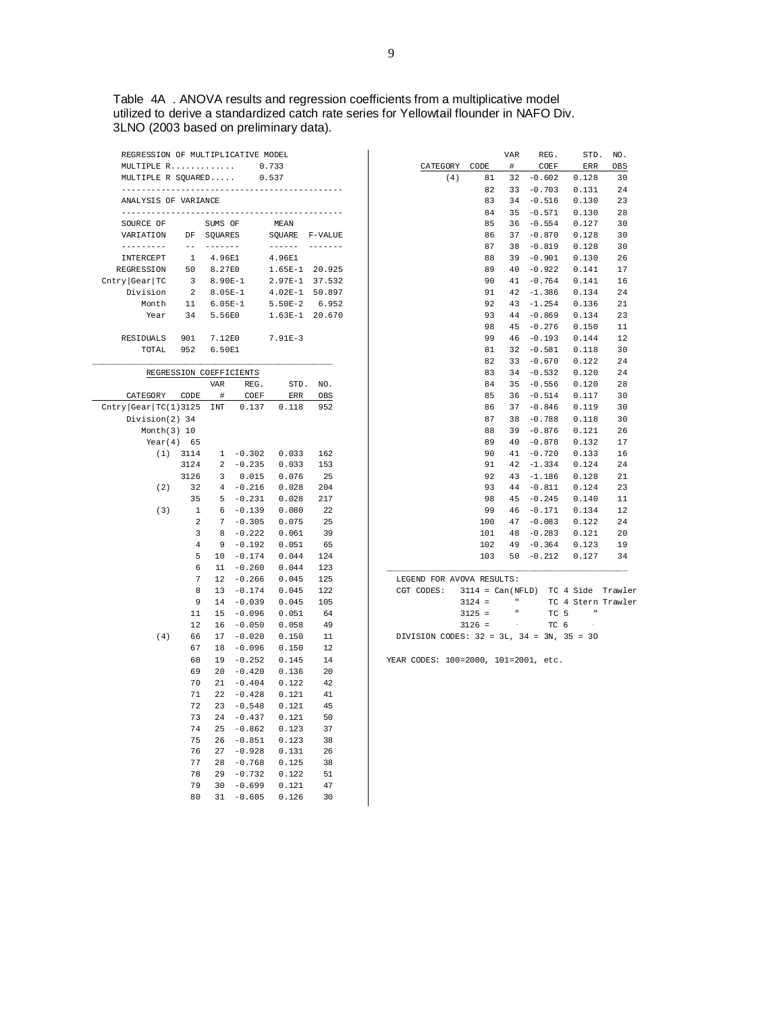Table 4A . ANOVA results and regression coefficients from a multiplicative model utilized to derive a standardized catch rate series for Yellowtail flounder in NAFO Div. 3LNO (2003 based on preliminary data).

| REGRESSION OF MULTIPLICATIVE MODEL   |                  |                         |                         |                |            |
|--------------------------------------|------------------|-------------------------|-------------------------|----------------|------------|
| MULTIPLE R                           |                  |                         |                         | 0.733          |            |
| MULTIPLE R SQUARED                   |                  |                         |                         | 0.537          |            |
| ANALYSIS OF VARIANCE                 |                  |                         |                         |                |            |
|                                      |                  |                         |                         |                |            |
| SOURCE OF                            |                  | SUMS OF                 |                         | MEAN           |            |
| VARIATION                            | DF               | SQUARES                 |                         | SOUARE         | F-VALUE    |
| ---------                            | $=$ $-$          | -------                 |                         | ------         | -------    |
| INTERCEPT                            | <sup>1</sup>     | 4.96E1                  |                         | 4.96E1         |            |
| REGRESSION                           | 50               | 8.27E0                  |                         | $1.65E-1$      | 20.925     |
| $\text{Chtry} \text{Gear} \text{TC}$ | $\overline{3}$   | 8.90E-1                 |                         | $2.97E-1$      | 37.532     |
| Division                             | 2                | $8.05E-1$               |                         | $4.02E-1$      | 50.897     |
| Month                                | 11               | $6.05E-1$               |                         | $5.50E-2$      | 6.952      |
| Year                                 | 34               | 5.56E0                  |                         | $1.63E-1$      | 20.670     |
| <b>RESIDUALS</b>                     | 901              | 7.12E0                  |                         | $7.91E-3$      |            |
| TOTAL                                | 952              | 6.50E1                  |                         |                |            |
|                                      |                  |                         |                         |                |            |
|                                      |                  |                         | REGRESSION COEFFICIENTS |                |            |
|                                      |                  | VAR                     | REG.                    | STD.           | NO.        |
| CATEGORY                             | CODE             | #                       | COEF                    | <b>ERR</b>     | <b>OBS</b> |
| Chtry Gear TC(1)3125                 |                  | INT                     | 0.137                   | 0.118          | 952        |
| Division(2) 34                       |                  |                         |                         |                |            |
| Month $(3)$ 10                       |                  |                         |                         |                |            |
| $Year(4)$ 65                         |                  |                         |                         |                |            |
| (1)                                  | 3114             | $\mathbf{1}$            | $-0.302$                | 0.033          | 162        |
|                                      | 3124             | 2                       | $-0.235$                | 0.033          | 153        |
|                                      | 3126             | $\overline{\mathbf{3}}$ | 0.015                   | 0.076          | 25         |
| (2)                                  | 32               | $\overline{4}$          | $-0.216$                | 0.028          | 204        |
|                                      | 35               | 5                       | $-0.231$                | 0.028          | 217        |
| (3)                                  | $\mathbf{1}$     | 6                       | $-0.139$                | 0.080          | 22         |
|                                      | 2                | 7                       | $-0.305$                | 0.075          | 25         |
|                                      | 3                | 8                       | $-0.222$                | 0.061          | 39         |
|                                      | 4                | 9                       | $-0.192$                | 0.051          | 65         |
|                                      | 5                | 10                      | $-0.174$                | 0.044          | 124        |
|                                      | 6                | 11                      | $-0.260$                | 0.044          | 123        |
|                                      | $\boldsymbol{7}$ | 12                      | $-0.266$                | 0.045          | 125        |
|                                      | 8                | 13                      | $-0.174$                | 0.045          | 122        |
|                                      | 9                | 14                      | $-0.039$                | 0.045          | 105        |
|                                      | 11               | 15                      | $-0.096$                | 0.051          | 64         |
|                                      | 12               | 16                      | $-0.050$                | 0.058          | 49         |
| (4)                                  | 66               | 17                      | $-0.020$                | 0.150          | 11         |
|                                      | 67               | 18                      | $-0.096$                | 0.150          | 12         |
|                                      | 68               | 19                      | $-0.252$                | 0.145          | 14         |
|                                      | 69               | 20                      | $-0.420$                | 0.136          | 20         |
|                                      | 70               | 21                      | $-0.404$                | 0.122          | 42         |
|                                      | 71               | 22                      | $-0.428$                | 0.121          | 41         |
|                                      | 72               | 23                      | $-0.548$                | 0.121          | 45         |
|                                      | 73<br>74         | 24                      | $-0.437$                | 0.121          | 50         |
|                                      |                  | 25                      | $-0.862$                | 0.123          | 37         |
|                                      | 75<br>76         | 26<br>27                | $-0.851$<br>$-0.928$    | 0.123<br>0.131 | 38<br>26   |
|                                      | 77               | 28                      | $-0.768$                | 0.125          | 38         |
|                                      | 78               | 29                      | $-0.732$                | 0.122          | 51         |
|                                      | 79               | 30                      | $-0.699$                | 0.121          | 47         |
|                                      | 80               | 31                      | $-0.605$                | 0.126          | 30         |
|                                      |                  |                         |                         |                |            |

|          |      | <b>VAR</b> | REG.     | STD.  | NO. |
|----------|------|------------|----------|-------|-----|
| CATEGORY | CODE | #          | COEF     | ERR   | OBS |
| (4)      | 81   | 32         | $-0.602$ | 0.128 | 30  |
|          | 82   | 33         | $-0.703$ | 0.131 | 24  |
|          | 83   | 34         | $-0.516$ | 0.130 | 23  |
|          | 84   | 35         | $-0.571$ | 0.130 | 28  |
|          | 85   | 36         | $-0.554$ | 0.127 | 30  |
|          | 86   | 37         | $-0.870$ | 0.128 | 30  |
|          | 87   | 38         | $-0.819$ | 0.128 | 30  |
|          | 88   | 39         | $-0.901$ | 0.130 | 26  |
|          | 89   | 40         | $-0.922$ | 0.141 | 17  |
|          | 90   | 41         | $-0.764$ | 0.141 | 16  |
|          | 91   | 42         | $-1.386$ | 0.134 | 24  |
|          | 92   | 43         | $-1.254$ | 0.136 | 21  |
|          | 93   | 44         | $-0.869$ | 0.134 | 23  |
|          | 98   | 45         | $-0.276$ | 0.150 | 11  |
|          | 99   | 46         | $-0.193$ | 0.144 | 12  |
|          | 81   | 32         | $-0.581$ | 0.118 | 30  |
|          | 82   | 33         | $-0.670$ | 0.122 | 24  |
|          | 83   | 34         | $-0.532$ | 0.120 | 24  |
|          | 84   | 35         | $-0.556$ | 0.120 | 28  |
|          | 85   | 36         | $-0.514$ | 0.117 | 30  |
|          | 86   | 37         | $-0.846$ | 0.119 | 30  |
|          | 87   | 38         | $-0.788$ | 0.118 | 30  |
|          | 88   | 39         | $-0.876$ | 0.121 | 26  |
|          | 89   | 40         | $-0.878$ | 0.132 | 17  |
|          | 90   | 41         | $-0.720$ | 0.133 | 16  |
|          | 91   | 42         | $-1.334$ | 0.124 | 24  |
|          | 92   | 43         | $-1.186$ | 0.128 | 21  |
|          | 93   | 44         | $-0.811$ | 0.124 | 23  |
|          | 98   | 45         | $-0.245$ | 0.140 | 11  |
|          | 99   | 46         | $-0.171$ | 0.134 | 12  |
|          | 100  | 47         | $-0.083$ | 0.122 | 24  |
|          | 101  | 48         | $-0.283$ | 0.121 | 20  |
|          | 102  | 49         | $-0.364$ | 0.123 | 19  |
|          | 103  | 50         | $-0.212$ | 0.127 | 34  |
|          |      |            |          |       |     |

LEGEND FOR AVOVA RESULTS:

|  | CGT CODES:                                        |          |  |                       |      |  |                | 3114 = Can(NFLD) TC 4 Side Trawler |  |
|--|---------------------------------------------------|----------|--|-----------------------|------|--|----------------|------------------------------------|--|
|  |                                                   | $3124 =$ |  | <b>Contract</b>       |      |  |                | TC 4 Stern Trawler                 |  |
|  |                                                   | $3125 =$ |  | <b>ILL ST</b>         | TC 5 |  | $\blacksquare$ |                                    |  |
|  |                                                   | $3126 =$ |  | contract the contract | TC 6 |  | $\sim$         |                                    |  |
|  | DIVISION CODES: $32 = 3L$ , $34 = 3N$ , $35 = 30$ |          |  |                       |      |  |                |                                    |  |
|  |                                                   |          |  |                       |      |  |                |                                    |  |

YEAR CODES: 100=2000, 101=2001, etc.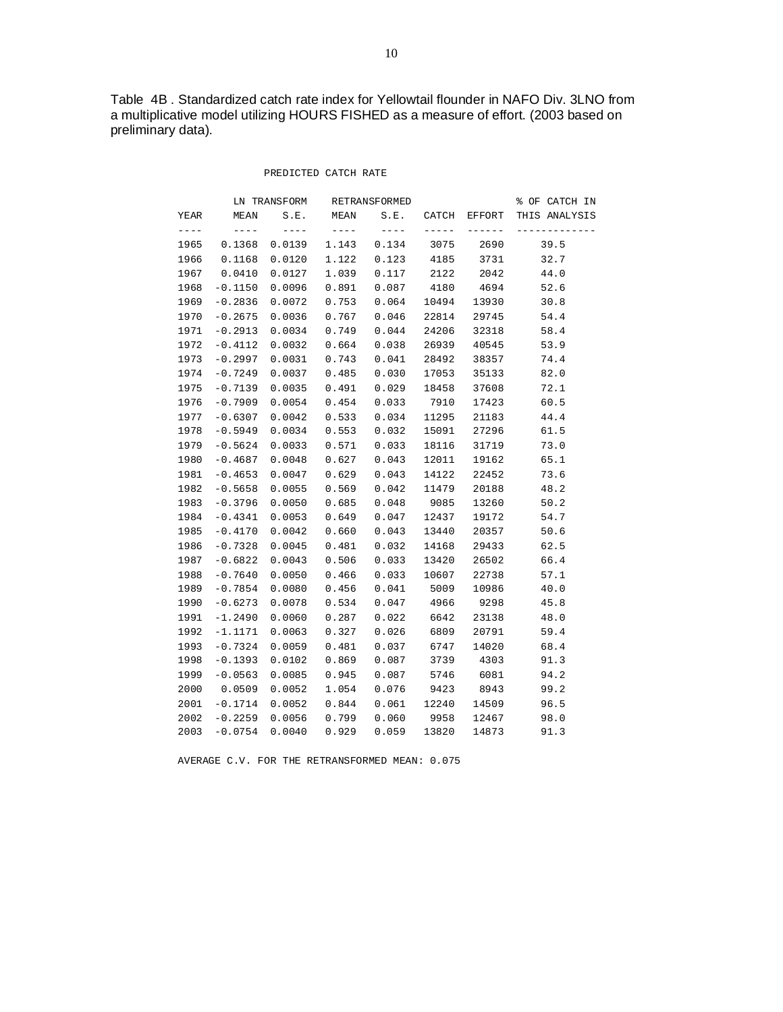Table 4B . Standardized catch rate index for Yellowtail flounder in NAFO Div. 3LNO from a multiplicative model utilizing HOURS FISHED as a measure of effort. (2003 based on preliminary data).

#### PREDICTED CATCH RATE

|      |           | LN TRANSFORM |       | RETRANSFORMED |       |        | % OF CATCH IN |
|------|-----------|--------------|-------|---------------|-------|--------|---------------|
| YEAR | MEAN      | S.E.         | MEAN  | S.E.          | CATCH | EFFORT | THIS ANALYSIS |
|      | $----$    | ----         | ----  |               |       |        |               |
| 1965 | 0.1368    | 0.0139       | 1.143 | 0.134         | 3075  | 2690   | 39.5          |
| 1966 | 0.1168    | 0.0120       | 1.122 | 0.123         | 4185  | 3731   | 32.7          |
| 1967 | 0.0410    | 0.0127       | 1.039 | 0.117         | 2122  | 2042   | 44.0          |
| 1968 | $-0.1150$ | 0.0096       | 0.891 | 0.087         | 4180  | 4694   | 52.6          |
| 1969 | $-0.2836$ | 0.0072       | 0.753 | 0.064         | 10494 | 13930  | 30.8          |
| 1970 | $-0.2675$ | 0.0036       | 0.767 | 0.046         | 22814 | 29745  | 54.4          |
| 1971 | $-0.2913$ | 0.0034       | 0.749 | 0.044         | 24206 | 32318  | 58.4          |
| 1972 | $-0.4112$ | 0.0032       | 0.664 | 0.038         | 26939 | 40545  | 53.9          |
| 1973 | $-0.2997$ | 0.0031       | 0.743 | 0.041         | 28492 | 38357  | 74.4          |
| 1974 | $-0.7249$ | 0.0037       | 0.485 | 0.030         | 17053 | 35133  | 82.0          |
| 1975 | $-0.7139$ | 0.0035       | 0.491 | 0.029         | 18458 | 37608  | 72.1          |
| 1976 | $-0.7909$ | 0.0054       | 0.454 | 0.033         | 7910  | 17423  | 60.5          |
| 1977 | $-0.6307$ | 0.0042       | 0.533 | 0.034         | 11295 | 21183  | 44.4          |
| 1978 | $-0.5949$ | 0.0034       | 0.553 | 0.032         | 15091 | 27296  | 61.5          |
| 1979 | $-0.5624$ | 0.0033       | 0.571 | 0.033         | 18116 | 31719  | 73.0          |
| 1980 | $-0.4687$ | 0.0048       | 0.627 | 0.043         | 12011 | 19162  | 65.1          |
| 1981 | $-0.4653$ | 0.0047       | 0.629 | 0.043         | 14122 | 22452  | 73.6          |
| 1982 | $-0.5658$ | 0.0055       | 0.569 | 0.042         | 11479 | 20188  | 48.2          |
| 1983 | $-0.3796$ | 0.0050       | 0.685 | 0.048         | 9085  | 13260  | 50.2          |
| 1984 | $-0.4341$ | 0.0053       | 0.649 | 0.047         | 12437 | 19172  | 54.7          |
| 1985 | $-0.4170$ | 0.0042       | 0.660 | 0.043         | 13440 | 20357  | 50.6          |
| 1986 | $-0.7328$ | 0.0045       | 0.481 | 0.032         | 14168 | 29433  | 62.5          |
| 1987 | $-0.6822$ | 0.0043       | 0.506 | 0.033         | 13420 | 26502  | 66.4          |
| 1988 | $-0.7640$ | 0.0050       | 0.466 | 0.033         | 10607 | 22738  | 57.1          |
| 1989 | $-0.7854$ | 0.0080       | 0.456 | 0.041         | 5009  | 10986  | 40.0          |
| 1990 | $-0.6273$ | 0.0078       | 0.534 | 0.047         | 4966  | 9298   | 45.8          |
| 1991 | $-1.2490$ | 0.0060       | 0.287 | 0.022         | 6642  | 23138  | 48.0          |
| 1992 | $-1.1171$ | 0.0063       | 0.327 | 0.026         | 6809  | 20791  | 59.4          |
| 1993 | $-0.7324$ | 0.0059       | 0.481 | 0.037         | 6747  | 14020  | 68.4          |
| 1998 | $-0.1393$ | 0.0102       | 0.869 | 0.087         | 3739  | 4303   | 91.3          |
| 1999 | $-0.0563$ | 0.0085       | 0.945 | 0.087         | 5746  | 6081   | 94.2          |
| 2000 | 0.0509    | 0.0052       | 1.054 | 0.076         | 9423  | 8943   | 99.2          |
| 2001 | $-0.1714$ | 0.0052       | 0.844 | 0.061         | 12240 | 14509  | 96.5          |
| 2002 | $-0.2259$ | 0.0056       | 0.799 | 0.060         | 9958  | 12467  | 98.0          |
| 2003 | $-0.0754$ | 0.0040       | 0.929 | 0.059         | 13820 | 14873  | 91.3          |

AVERAGE C.V. FOR THE RETRANSFORMED MEAN: 0.075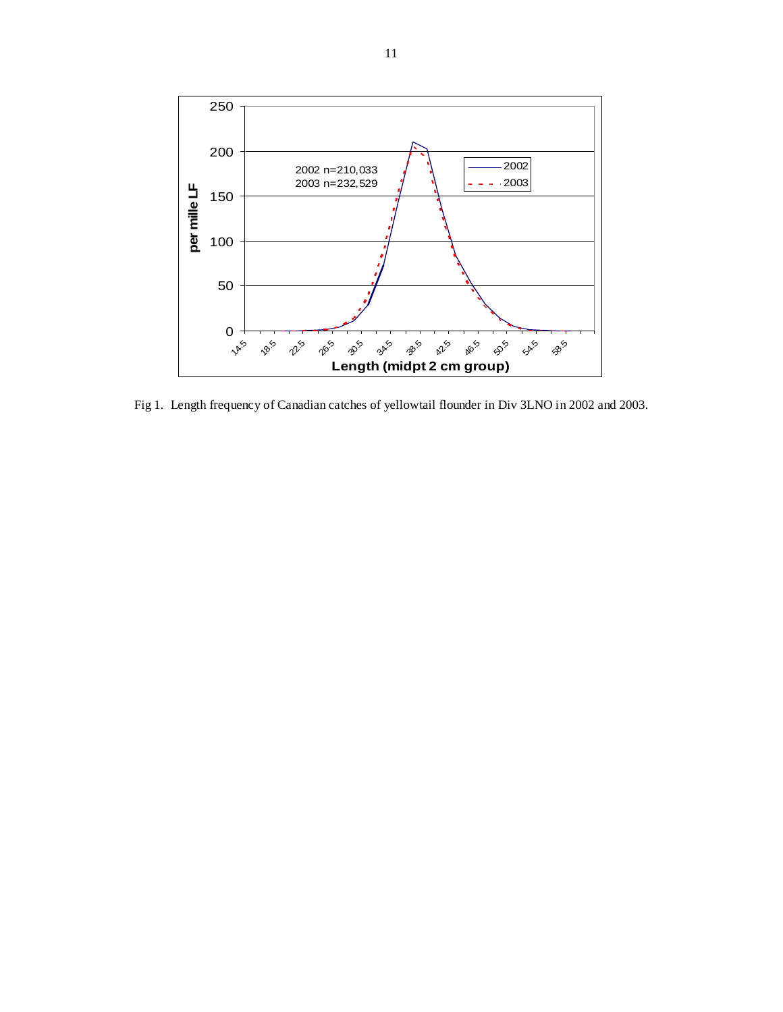

Fig 1. Length frequency of Canadian catches of yellowtail flounder in Div 3LNO in 2002 and 2003.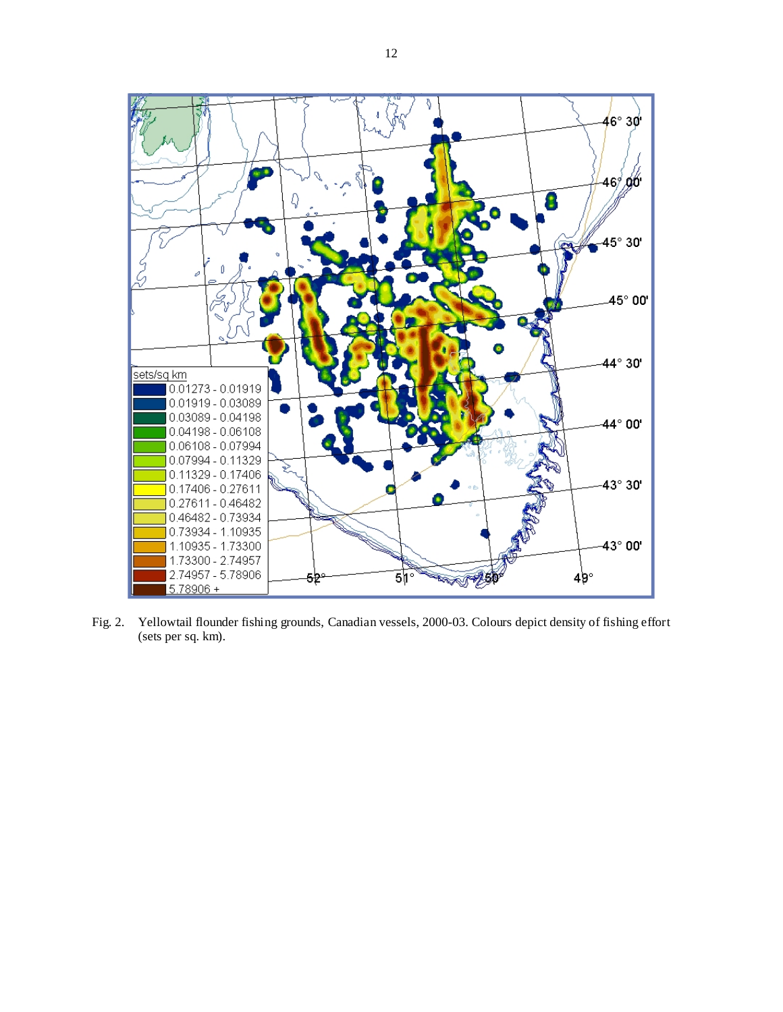

Fig. 2. Yellowtail flounder fishing grounds, Canadian vessels, 2000-03. Colours depict density of fishing effort (sets per sq. km).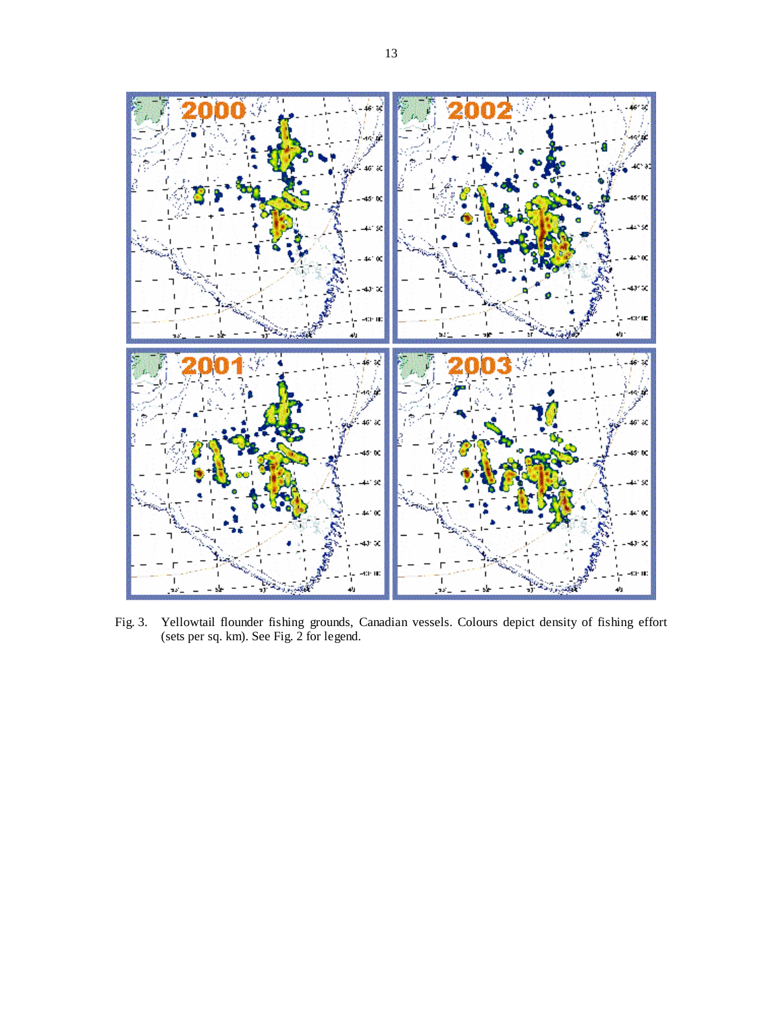

Fig. 3. Yellowtail flounder fishing grounds, Canadian vessels. Colours depict density of fishing effort (sets per sq. km). See Fig. 2 for legend.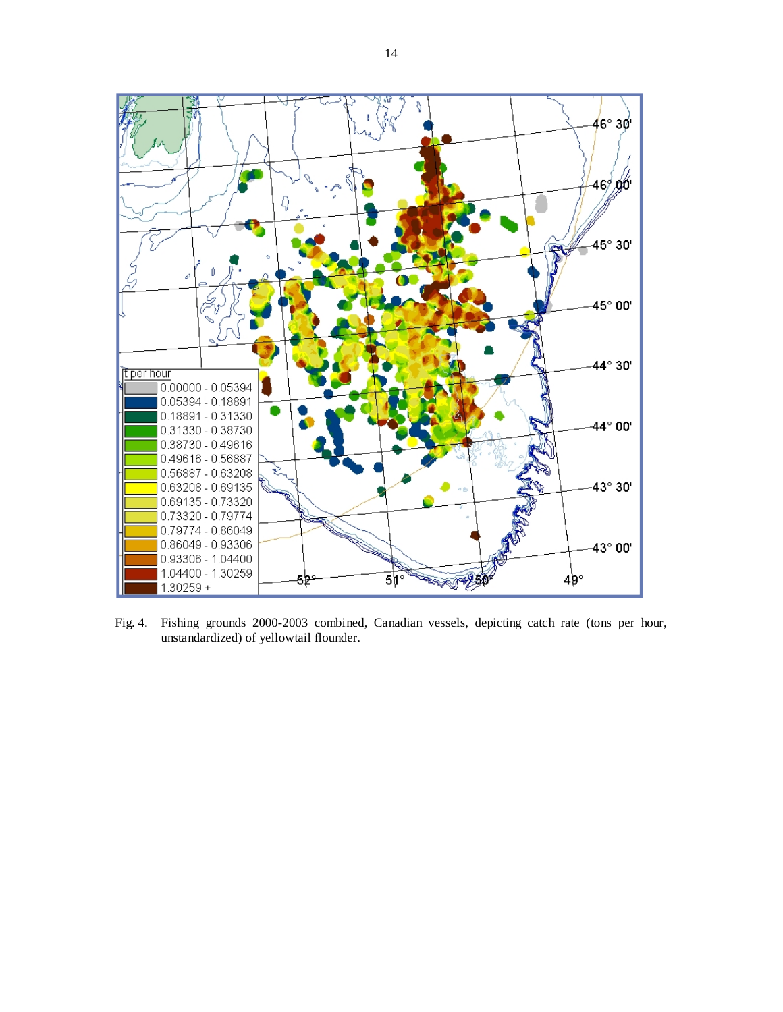

Fig. 4. Fishing grounds 2000-2003 combined, Canadian vessels, depicting catch rate (tons per hour, unstandardized) of yellowtail flounder.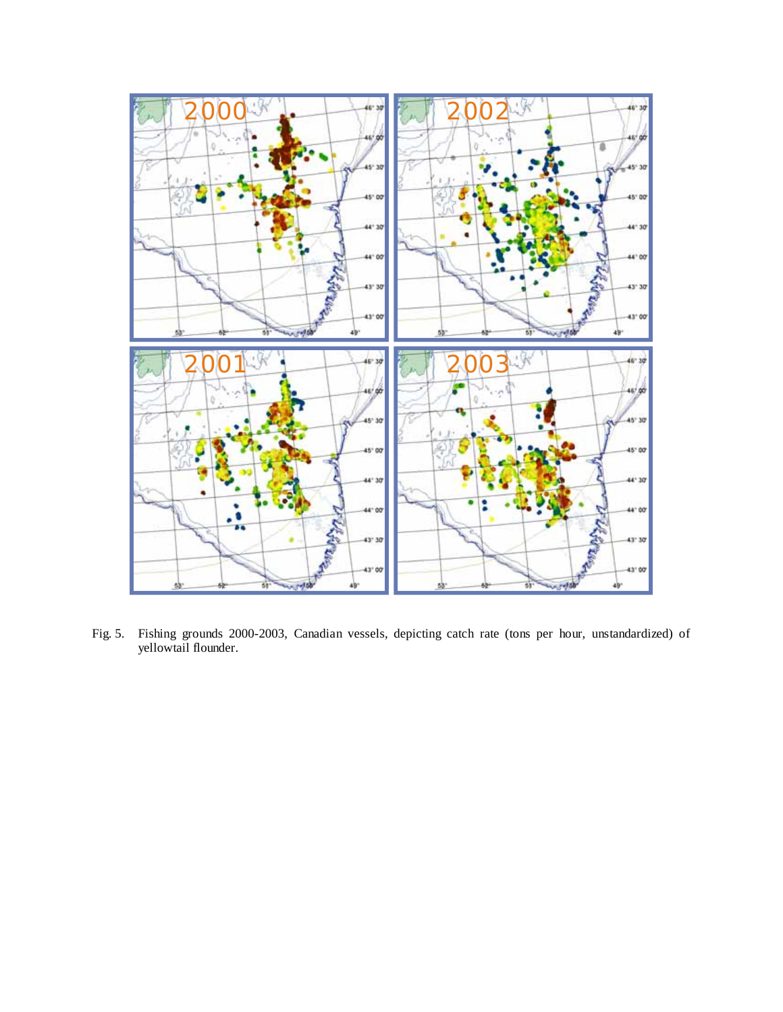

Fig. 5. Fishing grounds 2000-2003, Canadian vessels, depicting catch rate (tons per hour, unstandardized) of yellowtail flounder.